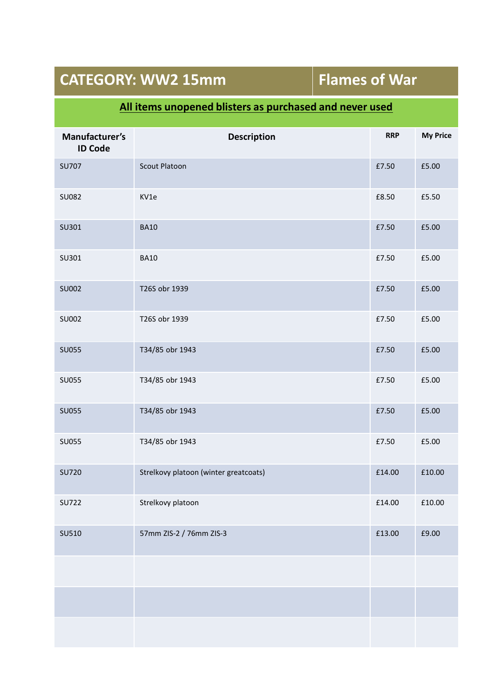## **CATEGORY: WW2 15mm Flames of War**

### **All items unopened blisters as purchased and never used**

| Manufacturer's<br><b>ID Code</b> | <b>Description</b>                    | <b>RRP</b> | <b>My Price</b> |
|----------------------------------|---------------------------------------|------------|-----------------|
| <b>SU707</b>                     | <b>Scout Platoon</b>                  | £7.50      | £5.00           |
| SU082                            | KV1e                                  | £8.50      | £5.50           |
| SU301                            | <b>BA10</b>                           | £7.50      | £5.00           |
| SU301                            | <b>BA10</b>                           | £7.50      | £5.00           |
| SU002                            | T26S obr 1939                         | £7.50      | £5.00           |
| SU002                            | T26S obr 1939                         | £7.50      | £5.00           |
| <b>SU055</b>                     | T34/85 obr 1943                       | £7.50      | £5.00           |
| <b>SU055</b>                     | T34/85 obr 1943                       | £7.50      | £5.00           |
| <b>SU055</b>                     | T34/85 obr 1943                       | £7.50      | £5.00           |
| <b>SU055</b>                     | T34/85 obr 1943                       | £7.50      | £5.00           |
| <b>SU720</b>                     | Strelkovy platoon (winter greatcoats) | £14.00     | £10.00          |
| <b>SU722</b>                     | Strelkovy platoon                     | £14.00     | £10.00          |
| SU510                            | 57mm ZIS-2 / 76mm ZIS-3               | £13.00     | £9.00           |
|                                  |                                       |            |                 |
|                                  |                                       |            |                 |
|                                  |                                       |            |                 |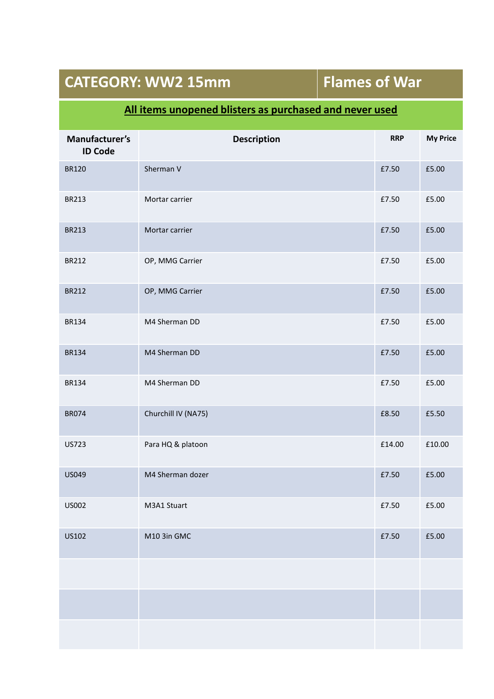## **CATEGORY: WW2 15mm Flames of War**

### **All items unopened blisters as purchased and never used**

| Manufacturer's<br><b>ID Code</b> | <b>Description</b>  | <b>RRP</b> | <b>My Price</b> |
|----------------------------------|---------------------|------------|-----------------|
| <b>BR120</b>                     | Sherman V           | £7.50      | £5.00           |
| <b>BR213</b>                     | Mortar carrier      | £7.50      | £5.00           |
| <b>BR213</b>                     | Mortar carrier      | £7.50      | £5.00           |
| <b>BR212</b>                     | OP, MMG Carrier     | £7.50      | £5.00           |
| <b>BR212</b>                     | OP, MMG Carrier     | £7.50      | £5.00           |
| <b>BR134</b>                     | M4 Sherman DD       | £7.50      | £5.00           |
| <b>BR134</b>                     | M4 Sherman DD       | £7.50      | £5.00           |
| <b>BR134</b>                     | M4 Sherman DD       | £7.50      | £5.00           |
| <b>BR074</b>                     | Churchill IV (NA75) | £8.50      | £5.50           |
| <b>US723</b>                     | Para HQ & platoon   | £14.00     | £10.00          |
| US049                            | M4 Sherman dozer    | £7.50      | £5.00           |
| <b>US002</b>                     | M3A1 Stuart         | £7.50      | £5.00           |
| US102                            | M10 3in GMC         | £7.50      | £5.00           |
|                                  |                     |            |                 |
|                                  |                     |            |                 |
|                                  |                     |            |                 |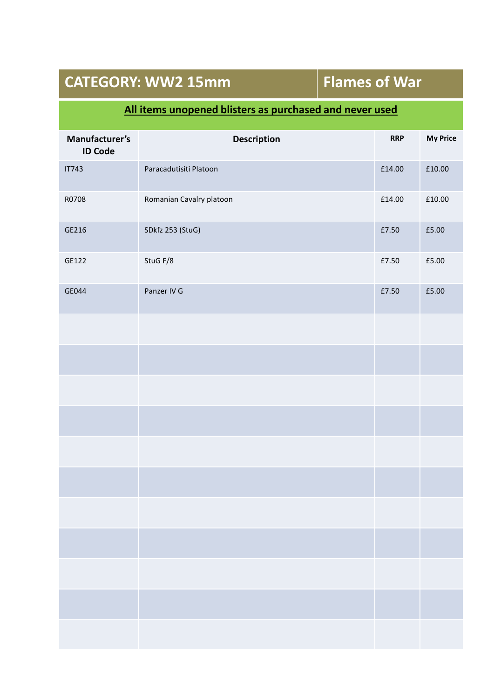## **CATEGORY: WW2 15mm Flames of War**

#### **All items unopened blisters as purchased and never used**

| Manufacturer's<br><b>ID Code</b> | Description              | <b>RRP</b> | <b>My Price</b> |
|----------------------------------|--------------------------|------------|-----------------|
| <b>IT743</b>                     | Paracadutisiti Platoon   | £14.00     | £10.00          |
| R0708                            | Romanian Cavalry platoon | £14.00     | £10.00          |
| GE216                            | SDkfz 253 (StuG)         | £7.50      | £5.00           |
| GE122                            | StuG F/8                 | £7.50      | £5.00           |
| GE044                            | Panzer IV G              | £7.50      | £5.00           |
|                                  |                          |            |                 |
|                                  |                          |            |                 |
|                                  |                          |            |                 |
|                                  |                          |            |                 |
|                                  |                          |            |                 |
|                                  |                          |            |                 |
|                                  |                          |            |                 |
|                                  |                          |            |                 |
|                                  |                          |            |                 |
|                                  |                          |            |                 |
|                                  |                          |            |                 |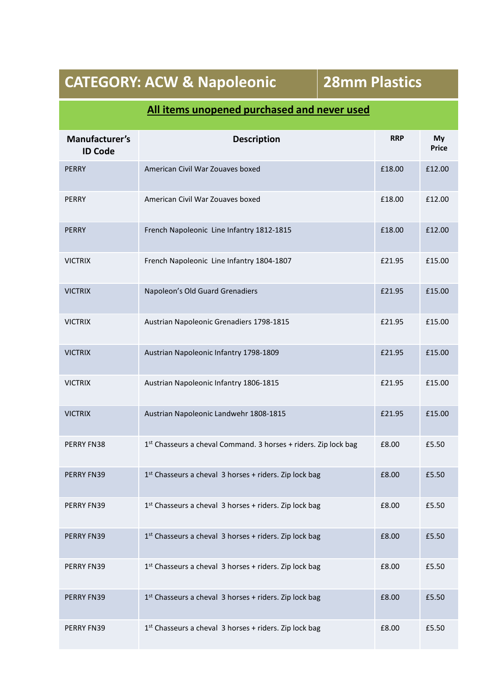# **CATEGORY: ACW & Napoleonic 28mm Plastics**

| Manufacturer's<br><b>ID Code</b> | <b>Description</b>                                              | <b>RRP</b> | My<br><b>Price</b> |
|----------------------------------|-----------------------------------------------------------------|------------|--------------------|
| <b>PERRY</b>                     | American Civil War Zouaves boxed                                | £18.00     | £12.00             |
| <b>PERRY</b>                     | American Civil War Zouaves boxed                                | £18.00     | £12.00             |
| <b>PERRY</b>                     | French Napoleonic Line Infantry 1812-1815                       | £18.00     | £12.00             |
| <b>VICTRIX</b>                   | French Napoleonic Line Infantry 1804-1807                       | £21.95     | £15.00             |
| <b>VICTRIX</b>                   | Napoleon's Old Guard Grenadiers                                 | £21.95     | £15.00             |
| <b>VICTRIX</b>                   | Austrian Napoleonic Grenadiers 1798-1815                        | £21.95     | £15.00             |
| <b>VICTRIX</b>                   | Austrian Napoleonic Infantry 1798-1809                          | £21.95     | £15.00             |
| <b>VICTRIX</b>                   | Austrian Napoleonic Infantry 1806-1815                          | £21.95     | £15.00             |
| <b>VICTRIX</b>                   | Austrian Napoleonic Landwehr 1808-1815                          | £21.95     | £15.00             |
| PERRY FN38                       | 1st Chasseurs a cheval Command. 3 horses + riders. Zip lock bag | £8.00      | £5.50              |
| PERRY FN39                       | 1st Chasseurs a cheval 3 horses + riders. Zip lock bag          | £8.00      | £5.50              |
| PERRY FN39                       | 1st Chasseurs a cheval 3 horses + riders. Zip lock bag          | £8.00      | £5.50              |
| PERRY FN39                       | 1st Chasseurs a cheval 3 horses + riders. Zip lock bag          | £8.00      | £5.50              |
| PERRY FN39                       | 1st Chasseurs a cheval 3 horses + riders. Zip lock bag          | £8.00      | £5.50              |
| PERRY FN39                       | 1st Chasseurs a cheval 3 horses + riders. Zip lock bag          | £8.00      | £5.50              |
| PERRY FN39                       | 1st Chasseurs a cheval 3 horses + riders. Zip lock bag          | £8.00      | £5.50              |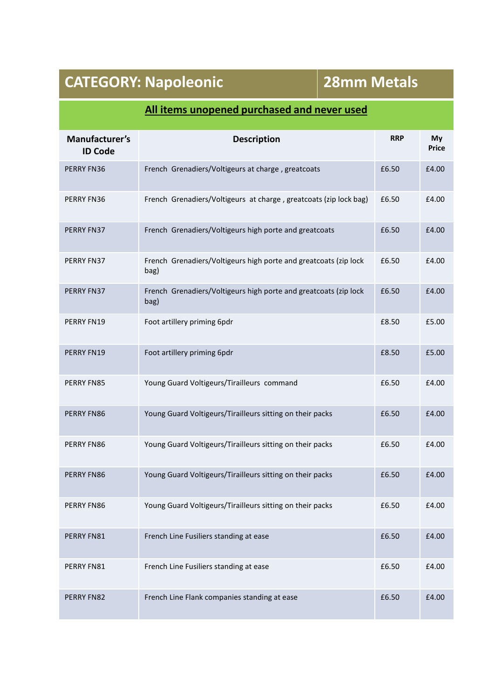| Manufacturer's<br><b>ID Code</b> | <b>Description</b>                                                       | <b>RRP</b> | My<br><b>Price</b> |
|----------------------------------|--------------------------------------------------------------------------|------------|--------------------|
| PERRY FN36                       | French Grenadiers/Voltigeurs at charge, greatcoats                       | £6.50      | £4.00              |
| PERRY FN36                       | French Grenadiers/Voltigeurs at charge, greatcoats (zip lock bag)        | £6.50      | £4.00              |
| PERRY FN37                       | French Grenadiers/Voltigeurs high porte and greatcoats                   | £6.50      | £4.00              |
| PERRY FN37                       | French Grenadiers/Voltigeurs high porte and greatcoats (zip lock<br>bag) | £6.50      | £4.00              |
| PERRY FN37                       | French Grenadiers/Voltigeurs high porte and greatcoats (zip lock<br>bag) | £6.50      | £4.00              |
| PERRY FN19                       | Foot artillery priming 6pdr                                              | £8.50      | £5.00              |
| PERRY FN19                       | Foot artillery priming 6pdr                                              | £8.50      | £5.00              |
| PERRY FN85                       | Young Guard Voltigeurs/Tirailleurs command                               | £6.50      | £4.00              |
| PERRY FN86                       | Young Guard Voltigeurs/Tirailleurs sitting on their packs                | £6.50      | £4.00              |
| PERRY FN86                       | Young Guard Voltigeurs/Tirailleurs sitting on their packs                | £6.50      | £4.00              |
| PERRY FN86                       | Young Guard Voltigeurs/Tirailleurs sitting on their packs                | £6.50      | £4.00              |
| PERRY FN86                       | Young Guard Voltigeurs/Tirailleurs sitting on their packs                | £6.50      | £4.00              |
| PERRY FN81                       | French Line Fusiliers standing at ease                                   | £6.50      | £4.00              |
| PERRY FN81                       | French Line Fusiliers standing at ease                                   | £6.50      | £4.00              |
| PERRY FN82                       | French Line Flank companies standing at ease                             | £6.50      | £4.00              |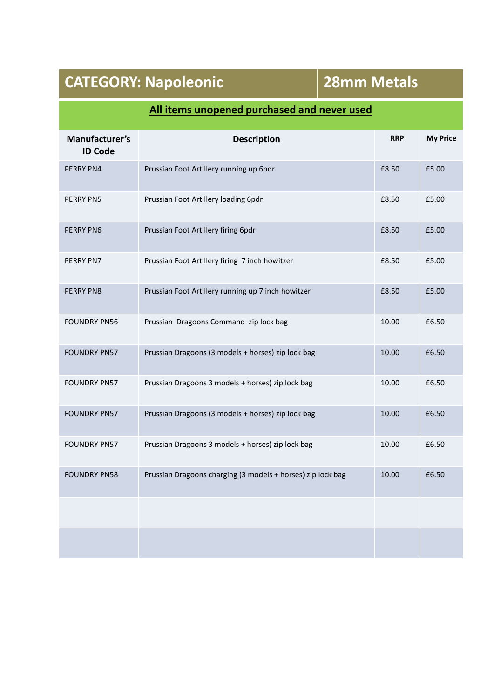| Manufacturer's<br><b>ID Code</b> | <b>Description</b>                                          | <b>RRP</b> | <b>My Price</b> |
|----------------------------------|-------------------------------------------------------------|------------|-----------------|
| <b>PERRY PN4</b>                 | Prussian Foot Artillery running up 6pdr                     | £8.50      | £5.00           |
| <b>PERRY PN5</b>                 | Prussian Foot Artillery loading 6pdr                        | £8.50      | £5.00           |
| <b>PERRY PN6</b>                 | Prussian Foot Artillery firing 6pdr                         | £8.50      | £5.00           |
| PERRY PN7                        | Prussian Foot Artillery firing 7 inch howitzer              | £8.50      | £5.00           |
| PERRY PN8                        | Prussian Foot Artillery running up 7 inch howitzer          | £8.50      | £5.00           |
| <b>FOUNDRY PN56</b>              | Prussian Dragoons Command zip lock bag                      | 10.00      | £6.50           |
| <b>FOUNDRY PN57</b>              | Prussian Dragoons (3 models + horses) zip lock bag          | 10.00      | £6.50           |
| <b>FOUNDRY PN57</b>              | Prussian Dragoons 3 models + horses) zip lock bag           | 10.00      | £6.50           |
| <b>FOUNDRY PN57</b>              | Prussian Dragoons (3 models + horses) zip lock bag          | 10.00      | £6.50           |
| <b>FOUNDRY PN57</b>              | Prussian Dragoons 3 models + horses) zip lock bag           | 10.00      | £6.50           |
| <b>FOUNDRY PN58</b>              | Prussian Dragoons charging (3 models + horses) zip lock bag | 10.00      | £6.50           |
|                                  |                                                             |            |                 |
|                                  |                                                             |            |                 |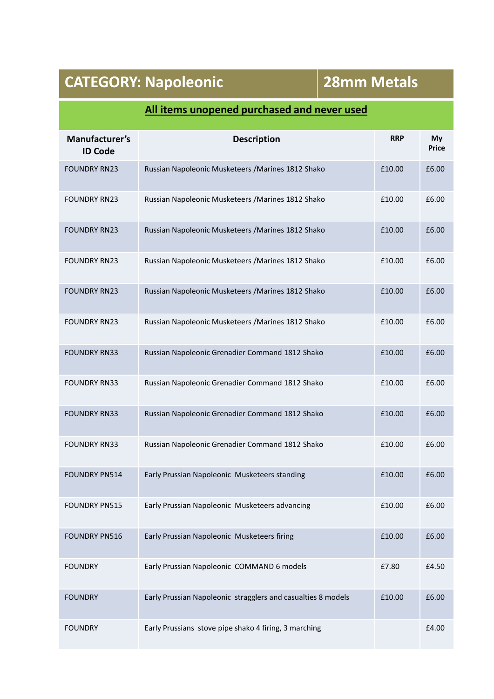| Manufacturer's<br><b>ID Code</b> | <b>Description</b>                                           | <b>RRP</b> | My<br><b>Price</b> |
|----------------------------------|--------------------------------------------------------------|------------|--------------------|
| <b>FOUNDRY RN23</b>              | Russian Napoleonic Musketeers / Marines 1812 Shako           | £10.00     | £6.00              |
| <b>FOUNDRY RN23</b>              | Russian Napoleonic Musketeers / Marines 1812 Shako           | £10.00     | £6.00              |
| <b>FOUNDRY RN23</b>              | Russian Napoleonic Musketeers / Marines 1812 Shako           | £10.00     | £6.00              |
| <b>FOUNDRY RN23</b>              | Russian Napoleonic Musketeers / Marines 1812 Shako           | £10.00     | £6.00              |
| <b>FOUNDRY RN23</b>              | Russian Napoleonic Musketeers / Marines 1812 Shako           | £10.00     | £6.00              |
| <b>FOUNDRY RN23</b>              | Russian Napoleonic Musketeers / Marines 1812 Shako           | £10.00     | £6.00              |
| <b>FOUNDRY RN33</b>              | Russian Napoleonic Grenadier Command 1812 Shako              | £10.00     | £6.00              |
| <b>FOUNDRY RN33</b>              | Russian Napoleonic Grenadier Command 1812 Shako              | £10.00     | £6.00              |
| <b>FOUNDRY RN33</b>              | Russian Napoleonic Grenadier Command 1812 Shako              | £10.00     | £6.00              |
| <b>FOUNDRY RN33</b>              | Russian Napoleonic Grenadier Command 1812 Shako              | £10.00     | £6.00              |
| <b>FOUNDRY PN514</b>             | Early Prussian Napoleonic Musketeers standing                | £10.00     | £6.00              |
| <b>FOUNDRY PN515</b>             | Early Prussian Napoleonic Musketeers advancing               | £10.00     | £6.00              |
| <b>FOUNDRY PN516</b>             | Early Prussian Napoleonic Musketeers firing                  | £10.00     | £6.00              |
| <b>FOUNDRY</b>                   | Early Prussian Napoleonic COMMAND 6 models                   | £7.80      | £4.50              |
| <b>FOUNDRY</b>                   | Early Prussian Napoleonic stragglers and casualties 8 models | £10.00     | £6.00              |
| <b>FOUNDRY</b>                   | Early Prussians stove pipe shako 4 firing, 3 marching        |            | £4.00              |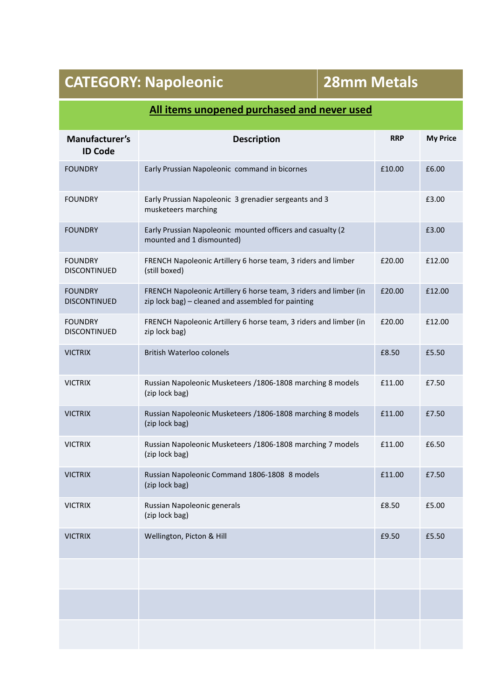| Manufacturer's<br><b>ID Code</b>      | <b>Description</b>                                                                                                      | <b>RRP</b> | <b>My Price</b> |
|---------------------------------------|-------------------------------------------------------------------------------------------------------------------------|------------|-----------------|
| <b>FOUNDRY</b>                        | Early Prussian Napoleonic command in bicornes                                                                           | £10.00     | £6.00           |
| <b>FOUNDRY</b>                        | Early Prussian Napoleonic 3 grenadier sergeants and 3<br>musketeers marching                                            |            | £3.00           |
| <b>FOUNDRY</b>                        | Early Prussian Napoleonic mounted officers and casualty (2<br>mounted and 1 dismounted)                                 |            | £3.00           |
| <b>FOUNDRY</b><br><b>DISCONTINUED</b> | FRENCH Napoleonic Artillery 6 horse team, 3 riders and limber<br>(still boxed)                                          | £20.00     | £12.00          |
| <b>FOUNDRY</b><br><b>DISCONTINUED</b> | FRENCH Napoleonic Artillery 6 horse team, 3 riders and limber (in<br>zip lock bag) - cleaned and assembled for painting | £20.00     | £12.00          |
| <b>FOUNDRY</b><br><b>DISCONTINUED</b> | FRENCH Napoleonic Artillery 6 horse team, 3 riders and limber (in<br>zip lock bag)                                      | £20.00     | £12.00          |
| <b>VICTRIX</b>                        | <b>British Waterloo colonels</b>                                                                                        | £8.50      | £5.50           |
| <b>VICTRIX</b>                        | Russian Napoleonic Musketeers / 1806-1808 marching 8 models<br>(zip lock bag)                                           | £11.00     | £7.50           |
| <b>VICTRIX</b>                        | Russian Napoleonic Musketeers /1806-1808 marching 8 models<br>(zip lock bag)                                            | £11.00     | £7.50           |
| <b>VICTRIX</b>                        | Russian Napoleonic Musketeers /1806-1808 marching 7 models<br>(zip lock bag)                                            | £11.00     | £6.50           |
| <b>VICTRIX</b>                        | Russian Napoleonic Command 1806-1808 8 models<br>(zip lock bag)                                                         | £11.00     | £7.50           |
| <b>VICTRIX</b>                        | Russian Napoleonic generals<br>(zip lock bag)                                                                           | £8.50      | £5.00           |
| <b>VICTRIX</b>                        | Wellington, Picton & Hill                                                                                               | £9.50      | £5.50           |
|                                       |                                                                                                                         |            |                 |
|                                       |                                                                                                                         |            |                 |
|                                       |                                                                                                                         |            |                 |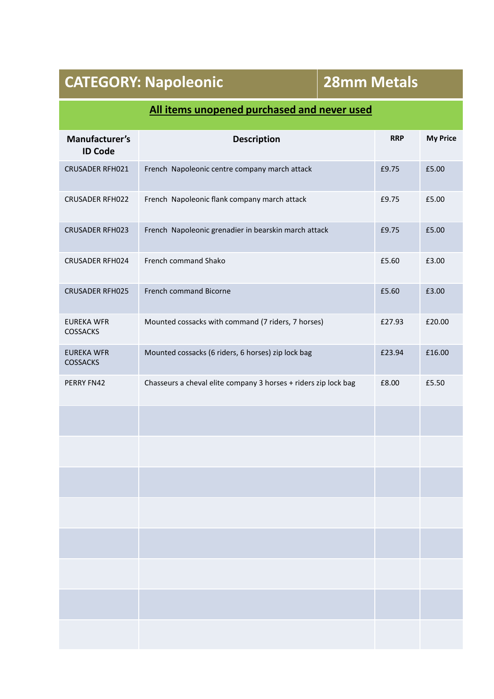| Manufacturer's<br><b>ID Code</b>     | <b>Description</b>                                              | <b>RRP</b> | <b>My Price</b> |
|--------------------------------------|-----------------------------------------------------------------|------------|-----------------|
| CRUSADER RFH021                      | French Napoleonic centre company march attack                   | £9.75      | £5.00           |
| <b>CRUSADER RFH022</b>               | French Napoleonic flank company march attack                    | £9.75      | £5.00           |
| CRUSADER RFH023                      | French Napoleonic grenadier in bearskin march attack            | £9.75      | £5.00           |
| CRUSADER RFH024                      | French command Shako                                            | £5.60      | £3.00           |
| <b>CRUSADER RFH025</b>               | French command Bicorne                                          | £5.60      | £3.00           |
| <b>EUREKA WFR</b><br><b>COSSACKS</b> | Mounted cossacks with command (7 riders, 7 horses)              | £27.93     | £20.00          |
| <b>EUREKA WFR</b><br>COSSACKS        | Mounted cossacks (6 riders, 6 horses) zip lock bag              | £23.94     | £16.00          |
| PERRY FN42                           | Chasseurs a cheval elite company 3 horses + riders zip lock bag | £8.00      | £5.50           |
|                                      |                                                                 |            |                 |
|                                      |                                                                 |            |                 |
|                                      |                                                                 |            |                 |
|                                      |                                                                 |            |                 |
|                                      |                                                                 |            |                 |
|                                      |                                                                 |            |                 |
|                                      |                                                                 |            |                 |
|                                      |                                                                 |            |                 |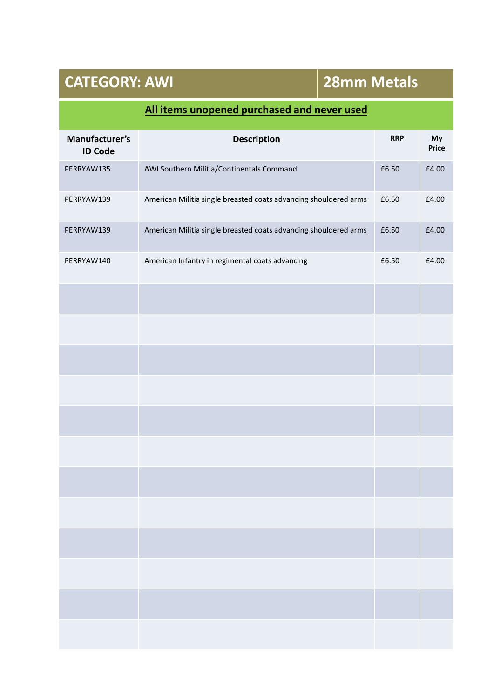## **CATEGORY: AWI 28mm Metals**

| Manufacturer's<br><b>ID Code</b> | <b>Description</b>                                               | <b>RRP</b> | My<br>Price |
|----------------------------------|------------------------------------------------------------------|------------|-------------|
| PERRYAW135                       | AWI Southern Militia/Continentals Command                        | £6.50      | £4.00       |
| PERRYAW139                       | American Militia single breasted coats advancing shouldered arms | £6.50      | £4.00       |
| PERRYAW139                       | American Militia single breasted coats advancing shouldered arms | £6.50      | £4.00       |
| PERRYAW140                       | American Infantry in regimental coats advancing                  | £6.50      | £4.00       |
|                                  |                                                                  |            |             |
|                                  |                                                                  |            |             |
|                                  |                                                                  |            |             |
|                                  |                                                                  |            |             |
|                                  |                                                                  |            |             |
|                                  |                                                                  |            |             |
|                                  |                                                                  |            |             |
|                                  |                                                                  |            |             |
|                                  |                                                                  |            |             |
|                                  |                                                                  |            |             |
|                                  |                                                                  |            |             |
|                                  |                                                                  |            |             |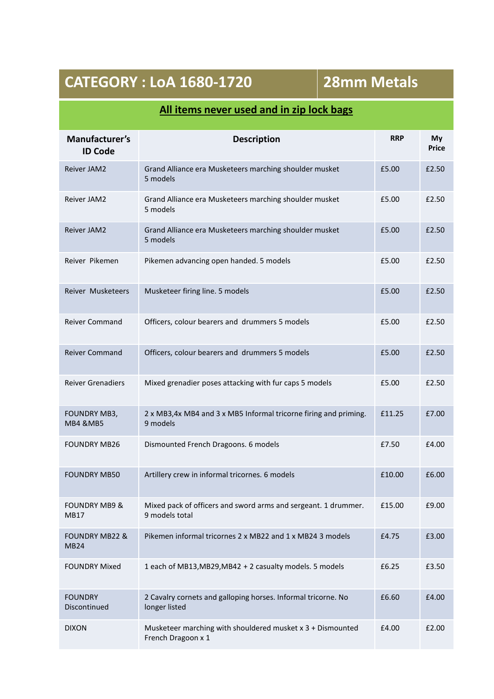## **CATEGORY : LoA 1680-1720 28mm Metals**

## **All items never used and in zip lock bags**

| Manufacturer's<br><b>ID Code</b>         | <b>Description</b>                                                               | <b>RRP</b> | My<br><b>Price</b> |
|------------------------------------------|----------------------------------------------------------------------------------|------------|--------------------|
| Reiver JAM2                              | Grand Alliance era Musketeers marching shoulder musket<br>5 models               | £5.00      | £2.50              |
| <b>Reiver JAM2</b>                       | Grand Alliance era Musketeers marching shoulder musket<br>5 models               | £5.00      | £2.50              |
| Reiver JAM2                              | Grand Alliance era Musketeers marching shoulder musket<br>5 models               | £5.00      | £2.50              |
| Reiver Pikemen                           | Pikemen advancing open handed. 5 models                                          | £5.00      | £2.50              |
| Reiver Musketeers                        | Musketeer firing line. 5 models                                                  | £5.00      | £2.50              |
| Reiver Command                           | Officers, colour bearers and drummers 5 models                                   | £5.00      | £2.50              |
| <b>Reiver Command</b>                    | Officers, colour bearers and drummers 5 models                                   | £5.00      | £2.50              |
| <b>Reiver Grenadiers</b>                 | Mixed grenadier poses attacking with fur caps 5 models                           | £5.00      | £2.50              |
| FOUNDRY MB3,<br><b>MB4 &amp;MB5</b>      | 2 x MB3,4x MB4 and 3 x MB5 Informal tricorne firing and priming.<br>9 models     | £11.25     | £7.00              |
| <b>FOUNDRY MB26</b>                      | Dismounted French Dragoons. 6 models                                             | £7.50      | £4.00              |
| <b>FOUNDRY MB50</b>                      | Artillery crew in informal tricornes. 6 models                                   | £10.00     | £6.00              |
| <b>FOUNDRY MB9 &amp;</b><br>MB17         | Mixed pack of officers and sword arms and sergeant. 1 drummer.<br>9 models total | £15.00     | £9.00              |
| <b>FOUNDRY MB22 &amp;</b><br><b>MB24</b> | Pikemen informal tricornes 2 x MB22 and 1 x MB24 3 models                        | £4.75      | £3.00              |
| <b>FOUNDRY Mixed</b>                     | 1 each of MB13, MB29, MB42 + 2 casualty models. 5 models                         | £6.25      | £3.50              |
| <b>FOUNDRY</b><br>Discontinued           | 2 Cavalry cornets and galloping horses. Informal tricorne. No<br>longer listed   | £6.60      | £4.00              |
| <b>DIXON</b>                             | Musketeer marching with shouldered musket x 3 + Dismounted<br>French Dragoon x 1 | £4.00      | £2.00              |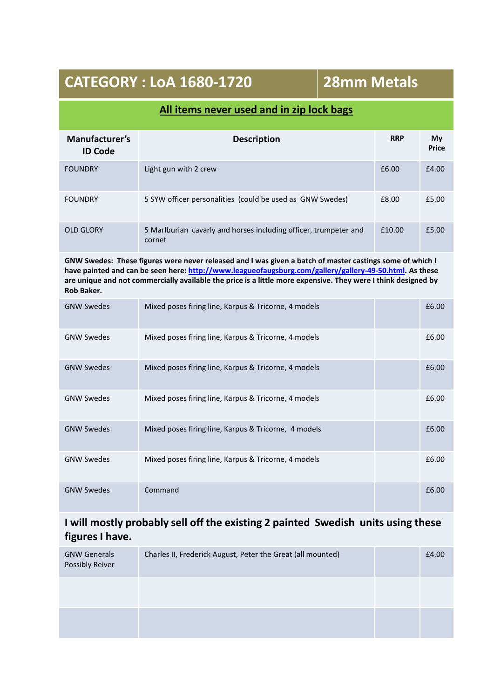## **CATEGORY : LoA 1680-1720 28mm Metals**

#### **All items never used and in zip lock bags**

| Manufacturer's<br><b>ID Code</b> | <b>Description</b>                                                         | <b>RRP</b> | My<br><b>Price</b> |
|----------------------------------|----------------------------------------------------------------------------|------------|--------------------|
| <b>FOUNDRY</b>                   | Light gun with 2 crew                                                      | £6.00      | £4.00              |
| <b>FOUNDRY</b>                   | 5 SYW officer personalities (could be used as GNW Swedes)                  | £8.00      | £5.00              |
| <b>OLD GLORY</b>                 | 5 Marlburian cavarly and horses including officer, trumpeter and<br>cornet | £10.00     | £5.00              |

**GNW Swedes: These figures were never released and I was given a batch of master castings some of which I have painted and can be seen here: http://www.leagueofaugsburg.com/gallery/gallery-49-50.html. As these are unique and not commercially available the price is a little more expensive. They were I think designed by Rob Baker.**

| <b>GNW Swedes</b> | Mixed poses firing line, Karpus & Tricorne, 4 models | £6.00 |
|-------------------|------------------------------------------------------|-------|
| <b>GNW Swedes</b> | Mixed poses firing line, Karpus & Tricorne, 4 models | £6.00 |
| <b>GNW Swedes</b> | Mixed poses firing line, Karpus & Tricorne, 4 models | £6.00 |
| <b>GNW Swedes</b> | Mixed poses firing line, Karpus & Tricorne, 4 models | £6.00 |
| <b>GNW Swedes</b> | Mixed poses firing line, Karpus & Tricorne, 4 models | £6.00 |
| <b>GNW Swedes</b> | Mixed poses firing line, Karpus & Tricorne, 4 models | £6.00 |
| <b>GNW Swedes</b> | Command                                              | £6.00 |

#### **I will mostly probably sell off the existing 2 painted Swedish units using these figures I have.**

| <b>GNW Generals</b><br><b>Possibly Reiver</b> | Charles II, Frederick August, Peter the Great (all mounted) | £4.00 |
|-----------------------------------------------|-------------------------------------------------------------|-------|
|                                               |                                                             |       |
|                                               |                                                             |       |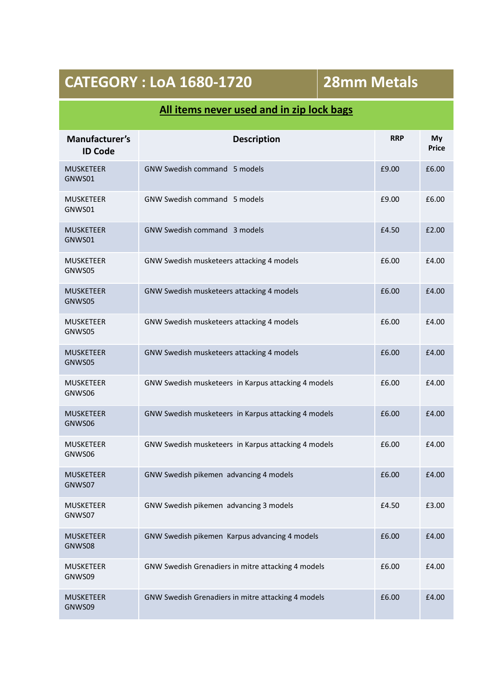## **CATEGORY : LoA 1680-1720 28mm Metals**

### **All items never used and in zip lock bags**

| Manufacturer's<br><b>ID Code</b> | <b>Description</b>                                  | <b>RRP</b> | My<br><b>Price</b> |
|----------------------------------|-----------------------------------------------------|------------|--------------------|
| <b>MUSKETEER</b><br>GNWS01       | <b>GNW Swedish command 5 models</b>                 | £9.00      | £6.00              |
| <b>MUSKETEER</b><br>GNWS01       | GNW Swedish command 5 models                        | £9.00      | £6.00              |
| <b>MUSKETEER</b><br>GNWS01       | <b>GNW Swedish command 3 models</b>                 | £4.50      | £2.00              |
| <b>MUSKETEER</b><br>GNWS05       | GNW Swedish musketeers attacking 4 models           | £6.00      | £4.00              |
| <b>MUSKETEER</b><br>GNWS05       | GNW Swedish musketeers attacking 4 models           | £6.00      | £4.00              |
| <b>MUSKETEER</b><br>GNWS05       | GNW Swedish musketeers attacking 4 models           | £6.00      | £4.00              |
| <b>MUSKETEER</b><br>GNWS05       | GNW Swedish musketeers attacking 4 models           | £6.00      | £4.00              |
| <b>MUSKETEER</b><br>GNWS06       | GNW Swedish musketeers in Karpus attacking 4 models | £6.00      | £4.00              |
| <b>MUSKETEER</b><br>GNWS06       | GNW Swedish musketeers in Karpus attacking 4 models | £6.00      | £4.00              |
| <b>MUSKETEER</b><br>GNWS06       | GNW Swedish musketeers in Karpus attacking 4 models | £6.00      | £4.00              |
| <b>MUSKETEER</b><br>GNWS07       | GNW Swedish pikemen advancing 4 models              | £6.00      | £4.00              |
| <b>MUSKETEER</b><br>GNWS07       | GNW Swedish pikemen advancing 3 models              | £4.50      | £3.00              |
| <b>MUSKETEER</b><br>GNWS08       | GNW Swedish pikemen Karpus advancing 4 models       | £6.00      | £4.00              |
| <b>MUSKETEER</b><br>GNWS09       | GNW Swedish Grenadiers in mitre attacking 4 models  | £6.00      | £4.00              |
| <b>MUSKETEER</b><br>GNWS09       | GNW Swedish Grenadiers in mitre attacking 4 models  | £6.00      | £4.00              |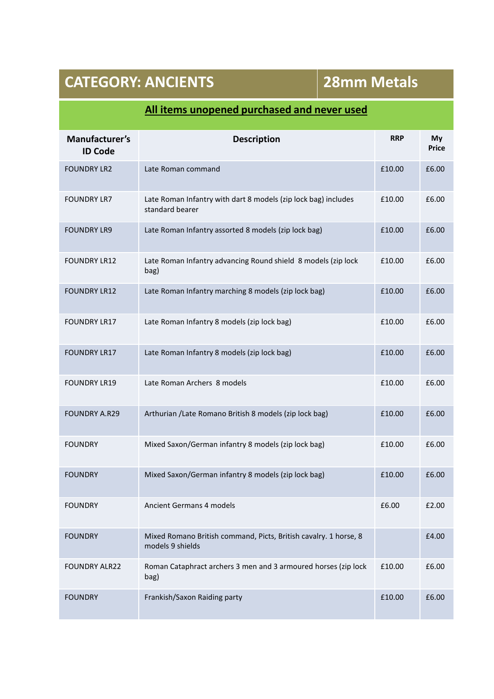# **CATEGORY: ANCIENTS 28mm Metals**

| Manufacturer's<br><b>ID Code</b> | <b>Description</b>                                                                   | <b>RRP</b> | My<br><b>Price</b> |
|----------------------------------|--------------------------------------------------------------------------------------|------------|--------------------|
| <b>FOUNDRY LR2</b>               | Late Roman command                                                                   | £10.00     | £6.00              |
| <b>FOUNDRY LR7</b>               | Late Roman Infantry with dart 8 models (zip lock bag) includes<br>standard bearer    | £10.00     | £6.00              |
| <b>FOUNDRY LR9</b>               | Late Roman Infantry assorted 8 models (zip lock bag)                                 | £10.00     | £6.00              |
| <b>FOUNDRY LR12</b>              | Late Roman Infantry advancing Round shield 8 models (zip lock<br>bag)                | £10.00     | £6.00              |
| <b>FOUNDRY LR12</b>              | Late Roman Infantry marching 8 models (zip lock bag)                                 | £10.00     | £6.00              |
| <b>FOUNDRY LR17</b>              | Late Roman Infantry 8 models (zip lock bag)                                          | £10.00     | £6.00              |
| <b>FOUNDRY LR17</b>              | Late Roman Infantry 8 models (zip lock bag)                                          | £10.00     | £6.00              |
| <b>FOUNDRY LR19</b>              | Late Roman Archers 8 models                                                          | £10.00     | £6.00              |
| <b>FOUNDRY A.R29</b>             | Arthurian /Late Romano British 8 models (zip lock bag)                               | £10.00     | £6.00              |
| <b>FOUNDRY</b>                   | Mixed Saxon/German infantry 8 models (zip lock bag)                                  | £10.00     | £6.00              |
| <b>FOUNDRY</b>                   | Mixed Saxon/German infantry 8 models (zip lock bag)                                  | £10.00     | £6.00              |
| <b>FOUNDRY</b>                   | Ancient Germans 4 models                                                             | £6.00      | £2.00              |
| <b>FOUNDRY</b>                   | Mixed Romano British command, Picts, British cavalry. 1 horse, 8<br>models 9 shields |            | £4.00              |
| <b>FOUNDRY ALR22</b>             | Roman Cataphract archers 3 men and 3 armoured horses (zip lock<br>bag)               | £10.00     | £6.00              |
| <b>FOUNDRY</b>                   | Frankish/Saxon Raiding party                                                         | £10.00     | £6.00              |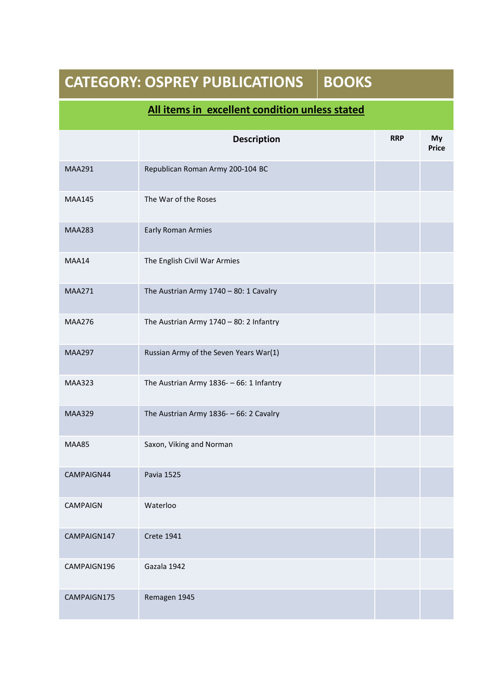| <b>BOOKS</b><br><b>CATEGORY: OSPREY PUBLICATIONS</b> |                                                |  |            |                    |
|------------------------------------------------------|------------------------------------------------|--|------------|--------------------|
|                                                      | All items in excellent condition unless stated |  |            |                    |
|                                                      | <b>Description</b>                             |  | <b>RRP</b> | My<br><b>Price</b> |
| <b>MAA291</b>                                        | Republican Roman Army 200-104 BC               |  |            |                    |
| <b>MAA145</b>                                        | The War of the Roses                           |  |            |                    |
| <b>MAA283</b>                                        | <b>Early Roman Armies</b>                      |  |            |                    |
| MAA14                                                | The English Civil War Armies                   |  |            |                    |
| <b>MAA271</b>                                        | The Austrian Army $1740 - 80$ : 1 Cavalry      |  |            |                    |
| <b>MAA276</b>                                        | The Austrian Army $1740 - 80$ : 2 Infantry     |  |            |                    |
| <b>MAA297</b>                                        | Russian Army of the Seven Years War(1)         |  |            |                    |
| <b>MAA323</b>                                        | The Austrian Army 1836- - 66: 1 Infantry       |  |            |                    |
| <b>MAA329</b>                                        | The Austrian Army 1836- - 66: 2 Cavalry        |  |            |                    |
| <b>MAA85</b>                                         | Saxon, Viking and Norman                       |  |            |                    |
| CAMPAIGN44                                           | <b>Pavia 1525</b>                              |  |            |                    |
| <b>CAMPAIGN</b>                                      | Waterloo                                       |  |            |                    |
| CAMPAIGN147                                          | <b>Crete 1941</b>                              |  |            |                    |
| CAMPAIGN196                                          | Gazala 1942                                    |  |            |                    |
| CAMPAIGN175                                          | Remagen 1945                                   |  |            |                    |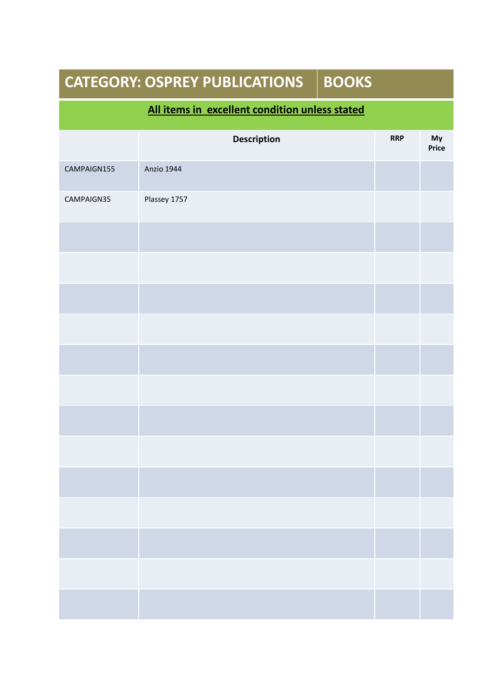| <b>CATEGORY: OSPREY PUBLICATIONS</b><br><b>BOOKS</b> |              |  |            |                    |  |
|------------------------------------------------------|--------------|--|------------|--------------------|--|
| All items in excellent condition unless stated       |              |  |            |                    |  |
|                                                      | Description  |  | <b>RRP</b> | My<br><b>Price</b> |  |
| CAMPAIGN155                                          | Anzio 1944   |  |            |                    |  |
| CAMPAIGN35                                           | Plassey 1757 |  |            |                    |  |
|                                                      |              |  |            |                    |  |
|                                                      |              |  |            |                    |  |
|                                                      |              |  |            |                    |  |
|                                                      |              |  |            |                    |  |
|                                                      |              |  |            |                    |  |
|                                                      |              |  |            |                    |  |
|                                                      |              |  |            |                    |  |
|                                                      |              |  |            |                    |  |
|                                                      |              |  |            |                    |  |
|                                                      |              |  |            |                    |  |
|                                                      |              |  |            |                    |  |
|                                                      |              |  |            |                    |  |
|                                                      |              |  |            |                    |  |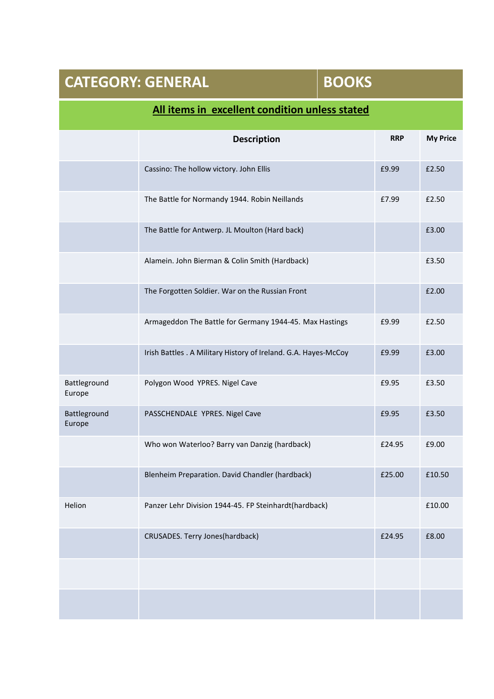| <b>CATEGORY: GENERAL</b> |                                                                 | <b>BOOKS</b> |            |                 |
|--------------------------|-----------------------------------------------------------------|--------------|------------|-----------------|
|                          | All items in excellent condition unless stated                  |              |            |                 |
|                          | <b>Description</b>                                              |              | <b>RRP</b> | <b>My Price</b> |
|                          | Cassino: The hollow victory. John Ellis                         |              | £9.99      | £2.50           |
|                          | The Battle for Normandy 1944. Robin Neillands                   |              | £7.99      | £2.50           |
|                          | The Battle for Antwerp. JL Moulton (Hard back)                  |              |            | £3.00           |
|                          | Alamein. John Bierman & Colin Smith (Hardback)                  |              |            | £3.50           |
|                          | The Forgotten Soldier. War on the Russian Front                 |              |            | £2.00           |
|                          | Armageddon The Battle for Germany 1944-45. Max Hastings         |              | £9.99      | £2.50           |
|                          | Irish Battles . A Military History of Ireland. G.A. Hayes-McCoy |              | £9.99      | £3.00           |
| Battleground<br>Europe   | Polygon Wood YPRES. Nigel Cave                                  |              | £9.95      | £3.50           |
| Battleground<br>Europe   | PASSCHENDALE YPRES. Nigel Cave                                  |              | £9.95      | £3.50           |
|                          | Who won Waterloo? Barry van Danzig (hardback)                   |              | £24.95     | £9.00           |
|                          | Blenheim Preparation. David Chandler (hardback)                 |              | £25.00     | £10.50          |
| Helion                   | Panzer Lehr Division 1944-45. FP Steinhardt(hardback)           |              |            | £10.00          |
|                          | CRUSADES. Terry Jones(hardback)                                 |              | £24.95     | £8.00           |
|                          |                                                                 |              |            |                 |
|                          |                                                                 |              |            |                 |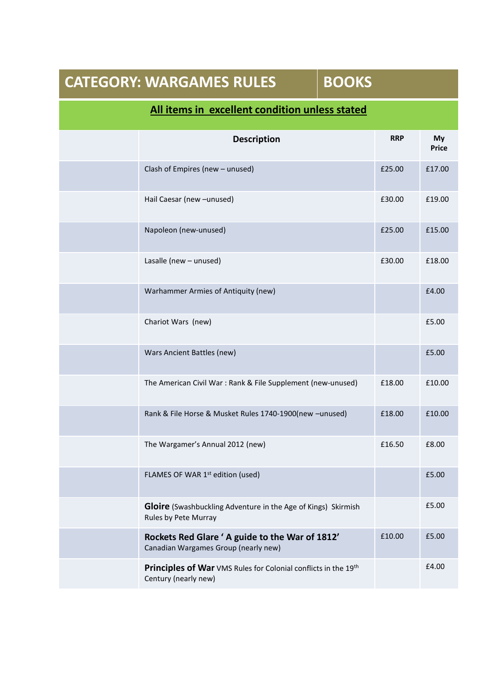|                                                | <b>CATEGORY: WARGAMES RULES</b>                                                              | <b>BOOKS</b> |            |                    |  |  |
|------------------------------------------------|----------------------------------------------------------------------------------------------|--------------|------------|--------------------|--|--|
| All items in excellent condition unless stated |                                                                                              |              |            |                    |  |  |
|                                                | <b>Description</b>                                                                           |              | <b>RRP</b> | My<br><b>Price</b> |  |  |
|                                                | Clash of Empires (new - unused)                                                              |              | £25.00     | £17.00             |  |  |
|                                                | Hail Caesar (new -unused)                                                                    |              | £30.00     | £19.00             |  |  |
|                                                | Napoleon (new-unused)                                                                        |              | £25.00     | £15.00             |  |  |
|                                                | Lasalle (new - unused)                                                                       |              | £30.00     | £18.00             |  |  |
|                                                | Warhammer Armies of Antiquity (new)                                                          |              |            | £4.00              |  |  |
|                                                | Chariot Wars (new)                                                                           |              |            | £5.00              |  |  |
|                                                | Wars Ancient Battles (new)                                                                   |              |            | £5.00              |  |  |
|                                                | The American Civil War: Rank & File Supplement (new-unused)                                  |              | £18.00     | £10.00             |  |  |
|                                                | Rank & File Horse & Musket Rules 1740-1900(new -unused)                                      |              | £18.00     | £10.00             |  |  |
|                                                | The Wargamer's Annual 2012 (new)                                                             |              | £16.50     | £8.00              |  |  |
|                                                | FLAMES OF WAR 1 <sup>st</sup> edition (used)                                                 |              |            | £5.00              |  |  |
|                                                | <b>Gloire</b> (Swashbuckling Adventure in the Age of Kings) Skirmish<br>Rules by Pete Murray |              |            | £5.00              |  |  |
|                                                | Rockets Red Glare ' A guide to the War of 1812'<br>Canadian Wargames Group (nearly new)      |              | £10.00     | £5.00              |  |  |
|                                                | Principles of War VMS Rules for Colonial conflicts in the 19th<br>Century (nearly new)       |              |            | £4.00              |  |  |